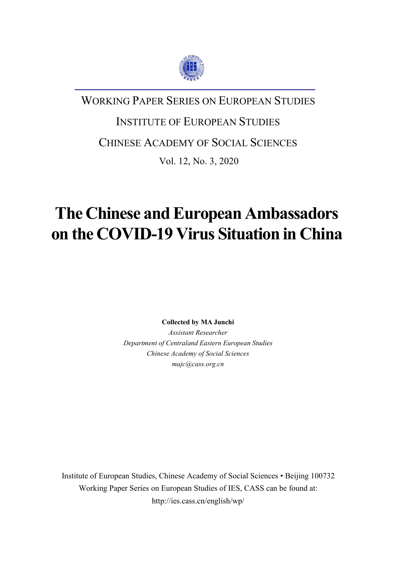

### WORKING PAPER SERIES ON EUROPEAN STUDIES

# INSTITUTE OF EUROPEAN STUDIES

CHINESE ACADEMY OF SOCIAL SCIENCES

Vol. 12, No. 3, 2020

## **The Chinese and European Ambassadors on the COVID-19 Virus Situation in China**

**Collected by MA Junchi**

*Assistant Researcher Department of Centraland Eastern European Studies Chinese Academy of Social Sciences majc@cass.org.cn*

Institute of European Studies, Chinese Academy of Social Sciences • Beijing 100732 Working Paper Series on European Studies of IES, CASS can be found at: http://ies.cass.cn/english/wp/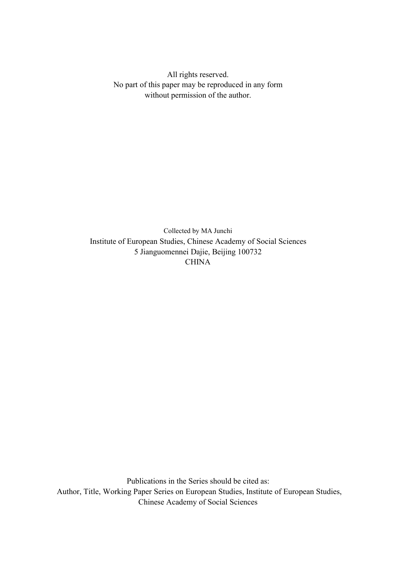All rights reserved. No part of this paper may be reproduced in any form without permission of the author.

Collected by MA Junchi Institute of European Studies, Chinese Academy of Social Sciences 5 Jianguomennei Dajie, Beijing 100732 **CHINA** 

Publications in the Series should be cited as: Author, Title, Working Paper Series on European Studies, Institute of European Studies, Chinese Academy of Social Sciences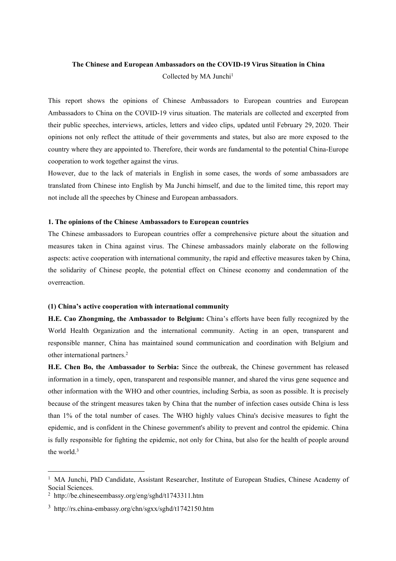#### **The Chinese and European Ambassadors on the COVID-19 Virus Situation in China** Collected by MA Junchi<sup>[1](#page-2-0)</sup>

This report shows the opinions of Chinese Ambassadors to European countries and European Ambassadors to China on the COVID-19 virus situation. The materials are collected and excerpted from their public speeches, interviews, articles, letters and video clips, updated until February 29, 2020. Their opinions not only reflect the attitude of their governments and states, but also are more exposed to the country where they are appointed to. Therefore, their words are fundamental to the potential China-Europe cooperation to work together against the virus.

However, due to the lack of materials in English in some cases, the words of some ambassadors are translated from Chinese into English by Ma Junchi himself, and due to the limited time, this report may not include all the speeches by Chinese and European ambassadors.

#### **1. The opinions ofthe Chinese Ambassadors to European countries**

The Chinese ambassadors to European countries offer a comprehensive picture about the situation and measures taken in China against virus. The Chinese ambassadors mainly elaborate on the following aspects: active cooperation with international community, the rapid and effective measures taken by China, the solidarity of Chinese people, the potential effect on Chinese economy and condemnation of the overreaction.

#### **(1) China's active cooperation with international community**

**H.E. Cao Zhongming, the Ambassador to Belgium:** China's efforts have been fully recognized by the World Health Organization and the international community. Acting in an open, transparent and responsible manner, China has maintained sound communication and coordination with Belgium and other international partners.[2](#page-2-1)

**H.E. Chen Bo, the Ambassador to Serbia:** Since the outbreak, the Chinese government has released information in a timely, open, transparent and responsible manner, and shared the virus gene sequence and other information with the WHO and other countries, including Serbia, as soon as possible. It is precisely because of the stringent measures taken by China that the number of infection cases outside China is less than 1% of the total number of cases. The WHO highly values China's decisive measures to fight the epidemic, and is confident in the Chinese government's ability to prevent and control the epidemic. China is fully responsible for fighting the epidemic, not only for China, but also for the health of people around the world.[3](#page-2-2)

<span id="page-2-0"></span><sup>&</sup>lt;sup>1</sup> MA Junchi, PhD Candidate, Assistant Researcher, Institute of European Studies, Chinese Academy of Social Sciences.

<span id="page-2-1"></span><sup>2</sup> http://be.chineseembassy.org/eng/sghd/t1743311.htm

<span id="page-2-2"></span><sup>3</sup> http://rs.china-embassy.org/chn/sgxx/sghd/t1742150.htm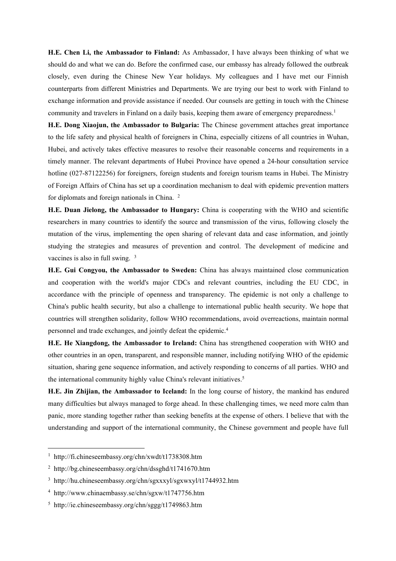**H.E. Chen Li, the Ambassador to Finland:** As Ambassador, I have always been thinking of what we should do and what we can do. Before the confirmed case, our embassy has already followed the outbreak closely, even during the Chinese New Year holidays. My colleagues and I have met our Finnish counterparts from different Ministries and Departments. We are trying our best to work with Finland to exchange information and provide assistance if needed. Our counsels are getting in touch with the Chinese community and travelers in Finland on a daily basis, keeping them aware of emergency preparedness.<sup>[1](#page-3-0)</sup>

**H.E. Dong Xiaojun, the Ambassador to Bulgaria:** The Chinese government attaches great importance to the life safety and physical health of foreigners in China, especially citizens of all countries in Wuhan, Hubei, and actively takes effective measures to resolve their reasonable concerns and requirements in a timely manner. The relevant departments of Hubei Province have opened a 24-hour consultation service hotline (027-87122256) for foreigners, foreign students and foreign tourism teams in Hubei. The Ministry of Foreign Affairs ofChina has set up a coordination mechanism to deal with epidemic prevention matters for diplomats and foreign nationals in China. [2](#page-3-1)

**H.E. Duan Jielong, the Ambassador to Hungary:** China iscooperating with the WHO and scientific researchers in many countries to identify the source and transmission of the virus, following closely the mutation of the virus, implementing the open sharing of relevant data and case information, and jointly studying the strategies and measures of prevention and control. The development of medicine and vaccines is also in full swing. [3](#page-3-2)

**H.E. Gui Congyou, the Ambassador to Sweden:** China has always maintained close communication and cooperation with the world's major CDCs and relevant countries, including the EU CDC, in accordance with the principle of openness and transparency. The epidemic is not only a challenge to China's public health security, but also a challenge to international public health security. We hope that countries will strengthen solidarity, follow WHO recommendations, avoid overreactions, maintain normal personnel and trade exchanges, and jointly defeat the epidemic.[4](#page-3-3)

**H.E. He Xiangdong, the Ambassador to Ireland:** China has strengthened cooperation with WHO and other countries in an open, transparent, and responsible manner, including notifying WHO of the epidemic situation, sharing gene sequence information, and actively responding to concerns of all parties. WHO and the international community highly value China's relevant initiatives.[5](#page-3-4)

**H.E. Jin Zhijian, the Ambassador to Iceland:** In the long course of history, the mankind has endured many difficulties but always managed to forge ahead. In these challenging times, we need more calm than panic, more standing together rather than seeking benefits at the expense of others. I believe that with the understanding and support of the international community, the Chinese government and people have full

<span id="page-3-0"></span><sup>&</sup>lt;sup>1</sup> http://fi.chineseembassy.org/chn/xwdt/t1738308.htm

<span id="page-3-1"></span><sup>2</sup> http://bg.chineseembassy.org/chn/dssghd/t1741670.htm

<span id="page-3-2"></span><sup>3</sup> http://hu.chineseembassy.org/chn/sgxxxyl/sgxwxyl/t1744932.htm

<span id="page-3-3"></span><sup>4</sup> http://www.chinaembassy.se/chn/sgxw/t1747756.htm

<span id="page-3-4"></span><sup>5</sup> http://ie.chineseembassy.org/chn/sggg/t1749863.htm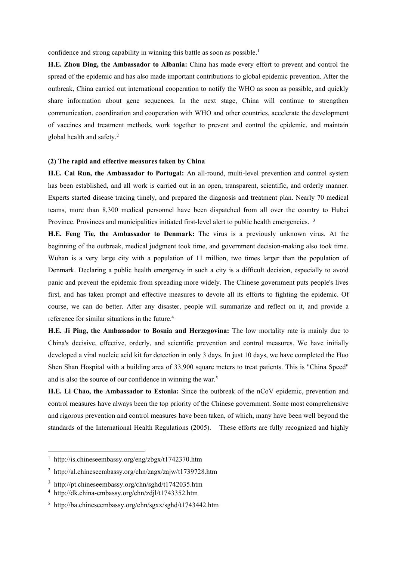**H.E. Zhou Ding, the Ambassador to Albania:** China has made every effort to prevent and control the spread of the epidemic and has also made important contributions to global epidemic prevention. After the outbreak, China carried out international cooperation to notify the WHO as soon as possible, and quickly share information about gene sequences. In the next stage, China will continue to strengthen communication, coordination and cooperation with WHO and other countries, accelerate the development of vaccines and treatment methods, work together to prevent and control the epidemic, and maintain global health and safety.[2](#page-4-1)

#### **(2) The rapid and effective measures taken by China**

**H.E. Cai Run, the Ambassador to Portugal:** An all-round, multi-level prevention and control system has been established, and all work is carried out in an open, transparent, scientific, and orderly manner. Experts started disease tracing timely, and prepared the diagnosis and treatment plan. Nearly 70 medical teams, more than 8,300 medical personnel have been dispatched from all over the country to Hubei Province. Provinces and municipalities initiated first-level alert to public health emergencies. <sup>[3](#page-4-2)</sup>

**H.E. Feng Tie, the Ambassador to Denmark:** The virus is a previously unknown virus. At the beginning of the outbreak, medical judgment took time, and government decision-making also took time. Wuhan is a very large city with a population of 11 million, two times larger than the population of Denmark. Declaring a public health emergency in such a city is a difficult decision, especially to avoid panic and prevent the epidemic from spreading more widely. The Chinese government puts people's lives first, and has taken prompt and effective measures to devote all its efforts to fighting the epidemic. Of course, we can do better. After any disaster, people will summarize and reflect on it, and provide a reference for similar situations in the future.<sup>[4](#page-4-3)</sup>

**H.E. Ji Ping, the Ambassador to Bosnia and Herzegovina:** The low mortality rate is mainly due to China's decisive, effective, orderly, and scientific prevention and control measures. We have initially developed a viral nucleic acid kit for detection in only 3 days. In just 10 days, we have completed the Huo Shen Shan Hospital with a building area of 33,900 square meters to treat patients. This is "China Speed" and is also the source of our confidence in winning the war.[5](#page-4-4)

**H.E. Li Chao, the Ambassador to Estonia:** Since the outbreak of the nCoV epidemic, prevention and control measures have always been the top priority of the Chinese government. Some most comprehensive and rigorous prevention and control measures have been taken, of which, many have been well beyond the standards of the International Health Regulations (2005). These efforts are fully recognized and highly

<span id="page-4-0"></span><sup>1</sup> http://is.chineseembassy.org/eng/zbgx/t1742370.htm

<span id="page-4-1"></span><sup>2</sup> http://al.chineseembassy.org/chn/zagx/zajw/t1739728.htm

<span id="page-4-2"></span><sup>3</sup> http://pt.chineseembassy.org/chn/sghd/t1742035.htm

<span id="page-4-3"></span><sup>4</sup> http://dk.china-embassy.org/chn/zdjl/t1743352.htm

<span id="page-4-4"></span><sup>5</sup> http://ba.chineseembassy.org/chn/sgxx/sghd/t1743442.htm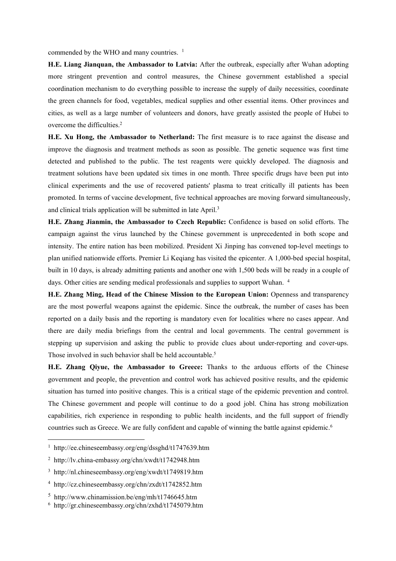**H.E. Liang Jianquan, the Ambassador to Latvia:** After the outbreak, especially after Wuhan adopting more stringent prevention and control measures, the Chinese government established a special coordination mechanism to do everything possible to increase the supply of daily necessities, coordinate the green channels for food, vegetables, medical supplies and other essential items. Other provinces and cities, as well as a large number of volunteers and donors, have greatly assisted the people of Hubei to overcome the difficulties.<sup>[2](#page-5-1)</sup>

**H.E. Xu Hong, the Ambassador to Netherland:** The first measure is to race againstthe disease and improve the diagnosis and treatment methods as soon as possible. The genetic sequence was first time detected and published to the public. The test reagents were quickly developed. The diagnosis and treatment solutions have been updated six times in one month. Three specific drugs have been put into clinical experiments and the use of recovered patients' plasma to treat critically ill patients has been promoted. In terms ofvaccine development, five technical approaches are moving forward simultaneously, and clinical trials application will be submitted in late April.[3](#page-5-2)

**H.E. Zhang Jianmin, the Ambassador to Czech Republic:** Confidence isbased on solid efforts. The campaign against the virus launched by the Chinese government is unprecedented in both scope and intensity. The entire nation has been mobilized. President Xi Jinping has convened top-level meetings to plan unified nationwide efforts. Premier Li Keqiang has visited the epicenter. A 1,000-bed special hospital, built in 10 days, is already admitting patients and another one with 1,500 bedswill be ready in a couple of days. Other cities are sending medical professionals and supplies to support Wuhan. [4](#page-5-3)

**H.E. Zhang Ming, Head of the Chinese Mission to the European Union:** Openness and transparency are the most powerful weapons against the epidemic. Since the outbreak, the number of cases has been reported on a daily basis and the reporting is mandatory even for localities where no cases appear. And there are daily media briefings from the central and localgovernments. The central government is stepping up supervision and asking the public to provide clues about under-reporting and cover-ups. Those involved in such behavior shall be held accountable.<sup>[5](#page-5-4)</sup>

**H.E. Zhang Qiyue, the Ambassador to Greece:** Thanks to the arduous efforts of the Chinese government and people, the prevention and control work has achieved positive results, and the epidemic situation has turned into positive changes. This is a critical stage of the epidemic prevention and control. The Chinese government and people will continue to do a good jobl. China has strong mobilization capabilities, rich experience in responding to public health incidents, and the full support of friendly countries such as Greece. We are fully confident and capable of winning the battle against epidemic.<sup>[6](#page-5-5)</sup>

<span id="page-5-0"></span><sup>1</sup> http://ee.chineseembassy.org/eng/dssghd/t1747639.htm

<span id="page-5-1"></span><sup>2</sup> http://lv.china-embassy.org/chn/xwdt/t1742948.htm

<span id="page-5-2"></span><sup>3</sup> http://nl.chineseembassy.org/eng/xwdt/t1749819.htm

<span id="page-5-3"></span><sup>4</sup> http://cz.chineseembassy.org/chn/zxdt/t1742852.htm

<span id="page-5-4"></span><sup>5</sup> http://www.chinamission.be/eng/mh/t1746645.htm

<span id="page-5-5"></span><sup>6</sup> http://gr.chineseembassy.org/chn/zxhd/t1745079.htm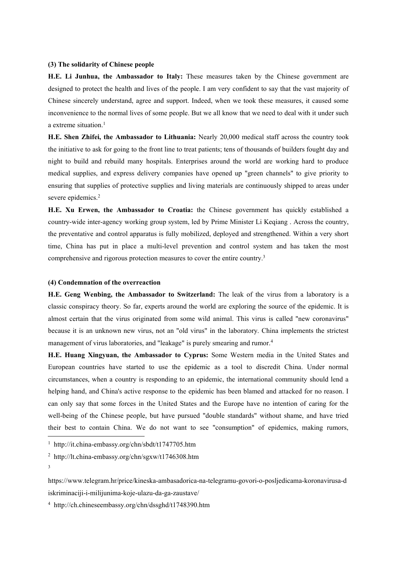#### **(3) The solidarity of Chinese people**

**H.E. Li Junhua, the Ambassador to Italy:** These measures taken by the Chinese government are designed to protect the health and lives of the people. I am very confident to say that the vast majority of Chinese sincerely understand, agree and support. Indeed, when we took these measures, it caused some inconvenience to the normal lives of some people. But we all know that we need to deal with it under such a extreme situation. $<sup>1</sup>$  $<sup>1</sup>$  $<sup>1</sup>$ </sup>

**H.E. Shen Zhifei, the Ambassador to Lithuania:** Nearly 20,000 medical staff across the country took the initiative to ask for going to the front line to treat patients; tens of thousands ofbuilders fought day and night to build and rebuild many hospitals. Enterprises around the world are working hard to produce medical supplies, and express delivery companies have opened up "green channels" to give priority to ensuring that supplies of protective supplies and living materials are continuously shipped to areas under severe epidemics.<sup>[2](#page-6-1)</sup>

**H.E. Xu Erwen, the Ambassador to Croatia:** the Chinese government has quickly established a country-wide inter-agency working group system, led by Prime Minister Li Keqiang . Across the country, the preventative and control apparatus is fully mobilized, deployed and strengthened. Within a very short time, China has put in place a multi-level prevention and control system and has taken the most comprehensive and rigorous protection measures to cover the entire country.[3](#page-6-2)

#### **(4) Condemnation of the overreaction**

**H.E. Geng Wenbing, the Ambassador to Switzerland:** The leak of the virus from a laboratory is a classic conspiracy theory. So far, experts around the world are exploring the source of the epidemic. It is almost certain that the virus originated from some wild animal. This virus is called "new coronavirus" because it is an unknown new virus, not an "old virus" in the laboratory. China implements the strictest management of virus laboratories, and "leakage" is purely smearing and rumor.<sup>[4](#page-6-3)</sup>

**H.E. Huang Xingyuan, the Ambassador to Cyprus:** Some Western media in the United States and European countries have started to use the epidemic as a tool to discredit China. Under normal circumstances, when a country is responding to an epidemic, the international community should lend a helping hand, and China's active response to the epidemic has been blamed and attacked for no reason. I can only say that some forces in the United States and the Europe have no intention of caring for the well-being of the Chinese people, but have pursued "double standards" without shame, and have tried their best to contain China. We do not want to see "consumption" of epidemics, making rumors,

3

<span id="page-6-3"></span><sup>4</sup> http://ch.chineseembassy.org/chn/dssghd/t1748390.htm

<span id="page-6-0"></span><sup>1</sup> http://it.china-embassy.org/chn/sbdt/t1747705.htm

<span id="page-6-1"></span><sup>2</sup> http://lt.china-embassy.org/chn/sgxw/t1746308.htm

<span id="page-6-2"></span>https://www.telegram.hr/price/kineska-ambasadorica-na-telegramu-govori-o-posljedicama-koronavirusa-d iskriminaciji-i-milijunima-koje-ulazu-da-ga-zaustave/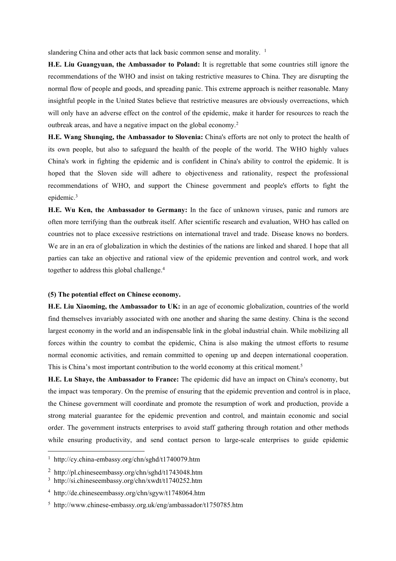**H.E. Liu Guangyuan, the Ambassador to Poland:** It is regrettable that some countries still ignore the recommendations of the WHO and insist on taking restrictive measures to China. They are disrupting the normal flow of people and goods, and spreading panic. This extreme approach is neither reasonable. Many insightful people in the United States believe that restrictive measures are obviously overreactions, which will only have an adverse effect on the control of the epidemic, make it harder for resources to reach the outbreak areas, and have a negative impact on the global economy.<sup>[2](#page-7-1)</sup>

**H.E.** Wang Shunging, the Ambassador to Slovenia: China's efforts are not only to protect the health of its own people, but also to safeguard the health of the people of the world. The WHO highly values China's work in fighting the epidemic and is confident in China's ability to control the epidemic. It is hoped that the Sloven side will adhere to objectiveness and rationality, respect the professional recommendations of WHO, and support the Chinese government and people's efforts to fight the epidemic.[3](#page-7-2)

**H.E. Wu Ken, the Ambassador to Germany:** In the face of unknown viruses, panic and rumors are often more terrifying than the outbreak itself. After scientific research and evaluation, WHO has called on countries not to place excessive restrictions on international travel and trade. Disease knows no borders. We are in an era of globalization in which the destinies of the nations are linked and shared. I hope that all parties can take an objective and rational view of the epidemic prevention and control work, and work together to address this global challenge.<sup>[4](#page-7-3)</sup>

#### **(5) The potential effect on Chinese economy.**

**H.E. Liu Xiaoming, the Ambassador to UK:** in an age of economic globalization, countries of the world find themselves invariably associated with one another and sharing the same destiny. China is the second largest economy in the world and an indispensable link in the global industrial chain. While mobilizing all forces within the country to combat the epidemic, China is also making the utmostefforts to resume normal economic activities, and remain committed to opening up and deepen international cooperation. This is China's most important contribution to the world economy at this critical moment.[5](#page-7-4)

**H.E. Lu Shaye, the Ambassador to France:** The epidemic did have an impact on China's economy, but the impact was temporary. On the premise of ensuring that the epidemic prevention and control is in place, the Chinese government will coordinate and promote the resumption of work and production, provide a strong material guarantee for the epidemic prevention and control, and maintain economic and social order. The government instructs enterprises to avoid staff gathering through rotation and other methods while ensuring productivity, and send contact person to large-scale enterprises to guide epidemic

<span id="page-7-0"></span><sup>1</sup> http://cy.china-embassy.org/chn/sghd/t1740079.htm

<span id="page-7-1"></span><sup>2</sup> http://pl.chineseembassy.org/chn/sghd/t1743048.htm

<span id="page-7-2"></span><sup>3</sup> http://si.chineseembassy.org/chn/xwdt/t1740252.htm

<span id="page-7-3"></span><sup>4</sup> http://de.chineseembassy.org/chn/sgyw/t1748064.htm

<span id="page-7-4"></span><sup>5</sup> http://www.chinese-embassy.org.uk/eng/ambassador/t1750785.htm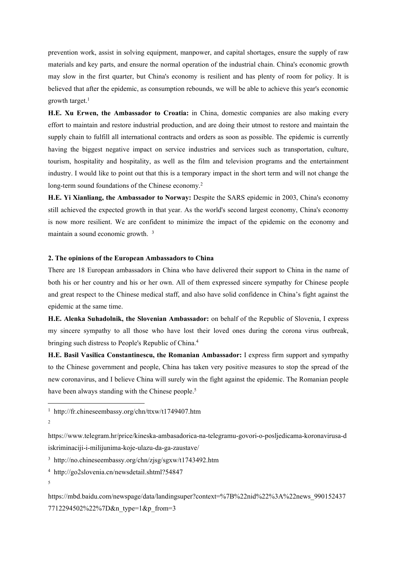prevention work, assist in solving equipment, manpower, and capital shortages, ensure the supply of raw materials and key parts, and ensure the normal operation of the industrial chain. China's economic growth may slow in the first quarter, but China's economy is resilient and has plenty of room for policy. It is believed that after the epidemic, as consumption rebounds, we will be able to achieve this year's economic growth target. $1$ 

**H.E. Xu Erwen, the Ambassador to Croatia:** in China, domestic companies are also making every effort to maintain and restore industrial production, and are doing their utmost to restore and maintain the supply chain to fulfill all international contracts and orders as soon as possible. The epidemic is currently having the biggest negative impact on service industries and services such as transportation, culture, tourism, hospitality and hospitality, as wellas the film and television programs and the entertainment industry. I would like to point out that this is a temporary impact in the short term and will not change the long-term sound foundations of the Chinese economy.<sup>[2](#page-8-1)</sup>

**H.E. Yi Xianliang, the Ambassador to Norway:** Despite the SARS epidemic in 2003,China's economy still achieved the expected growth in that year. As the world's second largest economy, China's economy is now more resilient. We are confident to minimize the impact of the epidemic on the economy and maintain a sound economic growth. [3](#page-8-2)

#### **2. The opinions ofthe European Ambassadors to China**

There are 18 European ambassadors in China who have delivered their support to China in the name of both his or her country and his or her own. All of them expressed sincere sympathy for Chinese people and great respect to the Chinese medical staff, and also have solid confidence in China's fight against the epidemic at the same time.

**H.E. Alenka Suhadolnik, the Slovenian Ambassador:** on behalf of the Republic of Slovenia, I express my sincere sympathy to all those who have lost their loved ones during the corona virus outbreak, bringing such distress to People's Republic of China.[4](#page-8-3)

**H.E. Basil Vasilica Constantinescu, the Romanian Ambassador:** I express firm support and sympathy to the Chinese government and people, China has taken very positive measures to stop the spread of the new coronavirus, and I believe China will surely win the fight against the epidemic. The Romanian people have been always standing with the Chinese people.<sup>[5](#page-8-4)</sup>

<span id="page-8-2"></span><sup>3</sup> http://no.chineseembassy.org/chn/zjsg/sgxw/t1743492.htm

<span id="page-8-3"></span><sup>4</sup> http://go2slovenia.cn/newsdetail.shtml?54847

<span id="page-8-4"></span>https://mbd.baidu.com/newspage/data/landingsuper?context=%7B%22nid%22%3A%22news\_990152437 7712294502%22%7D&n type=1&p from=3

<span id="page-8-0"></span><sup>1</sup> http://fr.chineseembassy.org/chn/ttxw/t1749407.htm

<sup>2</sup>

<span id="page-8-1"></span>https://www.telegram.hr/price/kineska-ambasadorica-na-telegramu-govori-o-posljedicama-koronavirusa-d iskriminaciji-i-milijunima-koje-ulazu-da-ga-zaustave/

<sup>5</sup>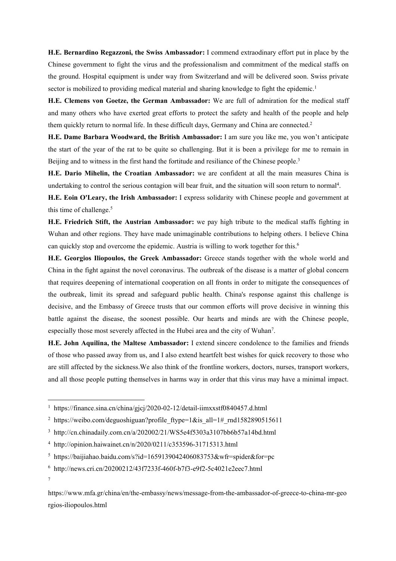**H.E. Bernardino Regazzoni, the Swiss Ambassador:** I commend extraodinary effort put in place by the Chinese government to fight the virus and the professionalism and commitment ofthe medical staffs on the ground. Hospital equipment is under way from Switzerland and will be delivered soon. Swiss private sector is mobilized to providing medical material and sharing knowledge to fight the epidemic.<sup>[1](#page-9-0)</sup>

**H.E. Clemens von Goetze, the German Ambassador:** We are full of admiration for the medical staff and many others who have exerted great efforts to protect the safety and health of the people and help them quickly return to normal life. In these difficult days, Germany and China are connected.<sup>[2](#page-9-1)</sup>

**H.E. Dame Barbara Woodward, the British Ambassador:** I am sure you like me, you won't anticipate the start of the yearof the rat to be quite so challenging. But it is been a privilege for me to remain in Beijing and to witness in the first hand the fortitude and resiliance of the Chinese people.<sup>[3](#page-9-2)</sup>

**H.E. Dario Mihelin, the Croatian Ambassador:** we are confident at all the main measures China is undertaking to control the serious contagion will bear fruit, and the situation will soon return to normal<sup>[4](#page-9-3)</sup>.

**H.E. Eoin O'Leary, the Irish Ambassador:** I express solidarity with Chinese people and government at this time of challenge.<sup>[5](#page-9-4)</sup>

**H.E. Friedrich Stift, the Austrian Ambassador:** we pay high tribute to the medical staffs fighting in Wuhan and other regions. They have made unimaginable contributions to helping others. I believe China can quickly stop and overcome the epidemic. Austria is willing to work together for this.[6](#page-9-5)

**H.E. Georgios Iliopoulos, the Greek Ambassador:** Greece stands together with the whole world and China in the fight against the novel coronavirus. The outbreak of the disease is a matter of global concern that requires deepening of international cooperation on all fronts in order to mitigate the consequences of the outbreak, limit its spread and safeguard public health. China's response against this challenge is decisive, and the Embassy of Greece trusts that our common efforts will prove decisive in winning this battle against the disease, the soonest possible. Our hearts and minds are with the Chinese people, especially those most severely affected in the Hubei area and the city of Wuhan [7](#page-9-6) .

**H.E. John Aquilina, the Maltese Ambassador:** I extend sincere condolence to the families and friends of those who passed away from us, and I also extend heartfelt best wishes for quick recovery to those who are still affected by the sickness.We also think of the frontline workers, doctors, nurses, transport workers, and all those people putting themselves in harms way in order that this virus may have a minimal impact.

7

<span id="page-9-0"></span><sup>&</sup>lt;sup>1</sup> https://finance.sina.cn/china/gjcj/2020-02-12/detail-iimxxstf0840457.d.html

<span id="page-9-1"></span><sup>&</sup>lt;sup>2</sup> https://weibo.com/deguoshiguan?profile ftype=1&is all=1# rnd1582890515611

<span id="page-9-2"></span><sup>3</sup> http://cn.chinadaily.com.cn/a/202002/21/WS5e4f5303a3107bb6b57a14bd.html

<span id="page-9-3"></span><sup>4</sup> http://opinion.haiwainet.cn/n/2020/0211/c353596-31715313.html

<span id="page-9-4"></span><sup>&</sup>lt;sup>5</sup> https://baijiahao.baidu.com/s?id=1659139042406083753&wfr=spider&for=pc

<span id="page-9-5"></span><sup>6</sup> http://news.cri.cn/20200212/43f7233f-460f-b7f3-e9f2-5c4021e2eec7.html

<span id="page-9-6"></span>https://www.mfa.gr/china/en/the-embassy/news/message-from-the-ambassador-of-greece-to-china-mr-geo rgios-iliopoulos.html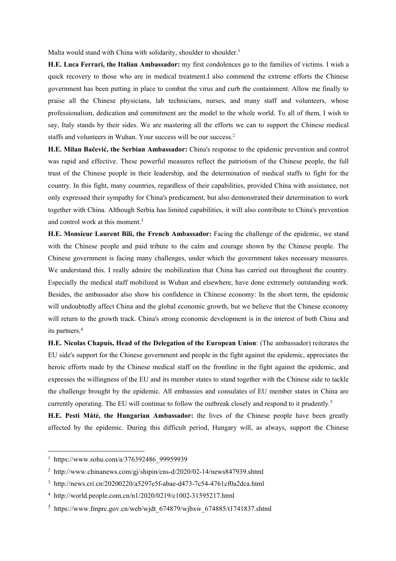**H.E. Luca Ferrari, the Italian Ambassador:** my first condolences go to the families ofvictims. I wish a quick recovery to those who are in medical treatment.I also commend the extreme efforts the Chinese government has been putting in place to combat the virus and curb the containment. Allow me finally to praise all the Chinese physicians, lab technicians, nurses, and many staff and volunteers, whose professionalism, dedication and commitment are the model to the whole world. To all of them, I wish to say, Italy stands by their sides. We are mastering all the efforts we can to support the Chinese medical staffs and volunteers in Wuhan. Your success will be our success.[2](#page-10-1)

**H.E. Milan Bačević, the Serbian Ambassador:** China's response to the epidemic prevention and control was rapid and effective. These powerful measures reflect the patriotism of the Chinese people, the full trust of the Chinese people in their leadership, and the determination of medical staffs to fight for the country. In this fight, many countries, regardless of their capabilities, provided China with assistance, not only expressed their sympathy for China's predicament, but also demonstrated their determination to work together with China. Although Serbia has limited capabilities, it will also contribute to China's prevention and control work at this moment.[3](#page-10-2)

**H.E. Monsieur Laurent Bili, the French Ambassador:** Facing the challenge of the epidemic, we stand with the Chinese people and paid tribute to the calm and courage shown by the Chinese people. The Chinese government is facing many challenges, under which the government takes necessary measures. We understand this. I really admire the mobilization that China has carried out throughout the country.<br>Especially the medical staff mobilized in Wuhan and elsewhere, have done extremely outstanding work. Besides, the ambassador also show his confidence in Chinese economy: In the short term, the epidemic will undoubtedly affect China and the global economic growth, but we believe that the Chinese economy will return to the growth track. China's strong economic development is in the interest of both China and its partners.[4](#page-10-3)

**H.E. Nicolas Chapuis, Head of the Delegation of the European Union**: (The ambassador) reiterates the EU side's support for the Chinese government and people in the fight against the epidemic, appreciates the heroic efforts made by the Chinese medical staff on the frontline in the fight against the epidemic, and expresses the willingness ofthe EU and its member states to stand together with the Chinese side to tackle the challenge brought by the epidemic. All embassies and consulates of EU member states in China are currently operating. The EU will continue to follow the outbreak closely and respond to it prudently.[5](#page-10-4)

**H.E. Pesti Máté, the Hungarian Ambassador:** the lives of the Chinese people have been greatly affected by the epidemic. During this difficult period, Hungary will, as always, support the Chinese

<span id="page-10-0"></span><sup>&</sup>lt;sup>1</sup> https://www.sohu.com/a/376392486\_99959939

<span id="page-10-1"></span><sup>&</sup>lt;sup>2</sup> http://www.chinanews.com/gi/shipin/cns-d/2020/02-14/news847939.shtml

<span id="page-10-2"></span><sup>3</sup> http://news.cri.cn/20200220/a5297e5f-abae-d473-7c54-4761cf0a2dca.html

<span id="page-10-3"></span><sup>4</sup> http://world.people.com.cn/n1/2020/0219/c1002-31595217.html

<span id="page-10-4"></span> $5$  https://www.fmprc.gov.cn/web/wjdt 674879/wjbxw 674885/t1741837.shtml